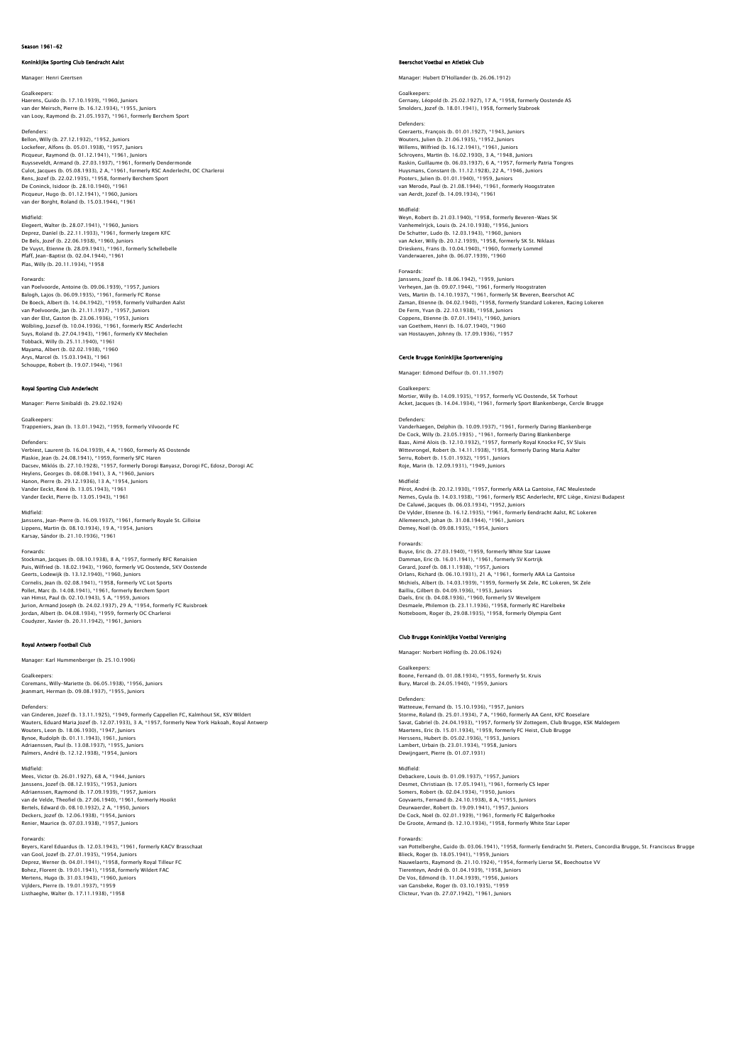# .<br>Klijke Sporting Club Eendracht Aals

# Manager: Henri Geertsen

Goalkeepers: Haerens, Guido (b. 17.10.1939), \*1960, Juniors

van der Meirsch, Pierre (b. 16.12.1934), \*1955, Juniors van Looy, Raymond (b. 21.05.1937), \*1961, formerly Berchem Sport

Defenders:

Bellon, Willy (b. 27.12.1932), \*1952, Juniors Lockefeer, Alfons (b. 05.01.1938), \*1957, Juniors<br>Picqueur, Raymond (b. 01.12.1941), \*1961, Juniors<br>Ruysseveldt, Armand (b. 27.03.1937), \*1961, formerly Dendermonde<br>Culot, Jacques (b. 05.08.1933), 2 A, \*1961, formerly RSC Rens, Jozef (b. 22.02.1935), \*1958, formerly Berchem Sport De Coninck, Isidoor (b. 28.10.1940), \*1961 Picqueur, Hugo (b. 01.12.1941), \*1960, Juniors van der Borght, Roland (b. 15.03.1944), \*1961

### Midfield:

Elegeert, Walter (b. 28.07.1941), \*1960, Juniors Deprez, Danïel (b. 22.11.1933), \*1961, formerly Izegem KFC<br>De Bels, Jozef (b. 22.06.1938), \*1960, Juniors<br>De Vuyst, Etienne (b. 28.09.1941), \*1961, formerly Schellebelle<br>Pfaff, Jean-Baptist (b. 02.04.1944), \*1961 Plas, Willy (b. 20.11.1934), \*1958

### Forwards:

van Poelvoorde, Antoine (b. 09.06.1939), \*1957, Juniors Balogh, Lajos (b. 06.09.1935), \*1961, formerly FC Ronse De Boeck, Albert (b. 14.04.1942), \*1959, formerly Volharden Aalst van Poelvoorde, Jan (b. 21.11.1937) , \*1957, Juniors<br>van der Elst, Gaston (b. 23.06.1936), \*1953, Juniors<br>Wölbling, Jozsef (b. 10.04.1936), \*1961, formerly RSC Anderlecht<br>Suys, Roland (b. 27.04.1943), \*1961, formerly KV Me Tobback, Willy (b. 25.11.1940), \*1961 Mayama, Albert (b. 02.02.1938), \*1960 Arys, Marcel (b. 15.03.1943), \*1961 Schouppe, Robert (b. 19.07.1944), \*1961

### Royal Sporting Club Anderlecht

Manager: Pierre Sinibaldi (b. 29.02.1924)

Goalkeepers:

Trappeniers, Jean (b. 13.01.1942), \*1959, formerly Vilvoorde FC

Defenders:<br>Verbiest, Laurent (b. 16.04.1939), 4 A, \*1960, formerly AS Oostende<br>Plaskie, Jean (b. 24.08.1941), \*1959, formerly SFC Haren<br>Dacsev, Miklós (b. 27.10.1928), \*1957, formerly Dorogi Banyasz, Dorogi FC, Edosz, Doro Heylens, Georges (b. 08.08.1941), 3 A, \*1960, Juniors Hanon, Pierre (b. 29.12.1936), 13 A, \*1954, Juniors Vander Eeckt, René (b. 13.05.1943), \*1961 Vander Eeckt, Pierre (b. 13.05.1943), \*1961

### Midfield:

Janssens, Jean–Pierre (b. 16.09.1937), \*1961, formerly Royale St. Gilloise<br>Lippens, Martin (b. 08.10.1934), 19 A, \*1954, Juniors<br>Karsay, Sándor (b. 21.10.1936), \*1961

### Forwards:

Stockman, Jacques (b. 08.10.1938), 8 A, \*1957, formerly RFC Renaisien Puis, Wilfried (b. 18.02.1943), \*1960, formerly VG Oostende, SKV Oostende Geerts, Lodewijk (b. 13.12.1940), \*1960, Juniors Cornelis, Jean (b. 02.08.1941), \*1958, formerly VC Lot Sports Pollet, Marc (b. 14.08.1941), \*1961, formerly Berchem Sport van Himst, Paul (b. 02.10.1943), 5 A, \*1959, Juniors Jurion, Armand Joseph (b. 24.02.1937), 29 A, \*1954, formerly FC Ruisbroek Jordan, Albert (b. 04.08.1934), \*1959, formerly OC Charleroi Coudyzer, Xavier (b. 20.11.1942), \*1961, Juniors

# Royal Antwerp Football Club

Manager: Karl Hummenberger (b. 25.10.1906)

### Goalkeepers:

Coremans, Willy-Mariette (b. 06.05.1938), \*1956, Juniors Jeanmart, Herman (b. 09.08.1937), \*1955, Juniors

### Defenders:

van Ginderen, Jozef (b. 13.11.1925), \*1949, formerly Cappellen FC, Kalmhout SK, KSV Wildert Wauters, Eduard Maria Jozef (b. 12.07.1933), 3 A, \*1957, formerly New York Hakoah, Royal Antwerp<br>Wouters, Leon (b. 18.06.1930), \*1947, Juniors<br>Bynoe, Rudolph (b. 01.11.1943), 1961, Juniors<br>Adriaenssen, Pardi (b. 12.12.1938

Midfield: Mees, Victor (b. 26.01.1927), 68 A, \*1944, Juniors Janssens, Jozef (b. 08.12.1935), \*1953, Juniors Adriaenssen, Raymond (b. 17.09.1939), \*1957, Juniors van de Velde, Theofiel (b. 27.06.1940), \*1961, formerly Hooikt<br>Bertels, Edward (b. 08.10.1932), 2 A, \*1950, Juniors<br>Deckers, Jozef (b. 12.06.1938), \*1954, Juniors<br>Renier, Maurice (b. 07.03.1938), \*1957, Juniors

### Forwards:

Beyers, Karel Eduardus (b. 12.03.1943), \*1961, formerly KACV Brasschaat<br>van Cool, Jozef (b. 27.01.1935), \*1954, Juniors<br>Deprez, Werner (b. 04.01.1941), \*1958, formerly Royal Tilleur FC<br>Bohez, Florent (b. 19.01.1941), \*1968 Vijlders, Pierre (b. 19.01.1937), \*1959 Listhaeghe, Walter (b. 17.11.1938), \*1958

### Beerschot Voetbal en Atletiek Club

Manager: Hubert D'Hollander (b. 26.06.1912)

### Goalkeepers: Gernaey, Léopold (b. 25.02.1927), 17 A, \*1958, formerly Oostende AS Smolders, Jozef (b. 18.01.1941), 1958, formerly Stabroek

Defenders: Geeraerts, François (b. 01.01.1927), \*1943, Juniors Wouters, Julien (b. 21.06.1935), \*1952, Juniors Willems, Wilfried (b. 16.12.1941), \*1961, Juniors<br>Schroyens, Martin (b. 16.02.1930), 3 A, \*1948, Juniors<br>Raskin, Guillaume (b. 06.03.1937), 6 A, \*1957, formerly Patria Tongres<br>Huysmans, Constant (b. 11.12.1928), 22 A, \*194 Pooters, Julien (b. 01.01.1940), \*1959, Juniors van Merode, Paul (b. 21.08.1944), \*1961, formerly Hoogstraten van Aerdt, Jozef (b. 14.09.1934), \*1961

Midfield: Weyn, Robert (b. 21.03.1940), \*1958, formerly Beveren-Waes SK Vanhemelrijck, Louis (b. 24.10.1938), \*1956, Juniors De Schutter, Ludo (b. 12.03.1943), \*1960, Juniors<br>van Acker, Willy (b. 20.12.1939), \*1958, formerly SK St. Niklaas<br>Drieskens, Frans (b. 10.04.1940), \*1960, formerly Lommel<br>Vanderwaeren, John (b. 06.07.1939), \*1960

# Forwards:

Janssens, Jozef (b. 18.06.1942), \*1959, Juniors<br>Verheyen, Jan (b. 09.07.1944), \*1961, formerly Hoogstraten<br>Vets, Martin (b. 14.10.1937), \*1961, formerly SK Beveren, Beerschot AC Zaman, Etienne (b. 04.02.1940), \*1958, formerly Standard Lokeren, Racing Lokeren De Ferm, Yvan (b. 22.10.1938), \*1958, Juniors Coppens, Etienne (b. 07.01.1941), \*1960, Juniors van Goethem, Henri (b. 16.07.1940), \*1960 van Hostauyen, Johnny (b. 17.09.1936), \*1957

# Cercle Brugge Koninklijke Sportv

Manager: Edmond Delfour (b. 01.11.1907)

Goalkeepers Mortier, Willy (b. 14.09.1935), \*1957, formerly VG Oostende, SK Torhout Acket, Jacques (b. 14.04.1934), \*1961, formerly Sport Blankenberge, Cercle Brugge

Defenders:<br>Vanderhaegen, Delphin (b. 10.09.1937), \*1961, formerly Daring Blankenberge Vanderhaegen, Delphin (b. 10.09.1937), \*1961, formerly Daring Blankenberge<br>De Cock, Willy (b. 23.05.1935), \*1961, formerly Daring Blankenberge<br>Baas, Aimé Alois (b. 12.10.1932), \*1957, formerly Royal Knocke FC, SV Sluis<br>Wit

Midfield:<br>Pérot, André (b. 20.12.1930), \*1957, formerly ARA La Gantoise, FAC Meulestede<br>Pérnes, Gyula (b. 14.03.1938), \*1961, formerly RSC Anderlecht, RFC Liège, Kinizsi Budapest<br>De Caluwé, Jacques (b. 06.03.1934), \*1952, Demey, Noёl (b. 09.08.1935), \*1954, Juniors

Forwards:<br>Buyse, Fric (b. 27.03.1940). \*1959. formerly White Star Lauwe Buyse, Eric (b. 27.03.1940), \*1959, formerly White Star Lauwe<br>Damman, Eric (b. 16.01.1941), \*1961, formerly SV Kortrijk<br>Cerard, Jozef (b. 08.11.1938), \*1957, Juniors<br>Orlans, Richard (b. 06.10.1931), 21 A, \*1961, formerly A Daels, Eric (b. 04.08.1936), \*1960, formerly SV Wevelgem Desmaele, Philemon (b. 23.11.1936), \*1958, formerly RC Harelbeke Notteboom, Roger (b, 29.08.1935), \*1958, formerly Olympia Gent

### Club Brugge Koninklijke Voetbal Vereniging

Manager: Norbert Höfling (b. 20.06.1924)

Goalkeepers: Boone, Fernand (b. 01.08.1934), \*1955, formerly St. Kruis Bury, Marcel (b. 24.05.1940), \*1959, Juniors

Defenders: Watteeuw, Fernand (b. 15.10.1936), \*1957, Juniors Storme, Roland (b. 25.01.1934), 7 A, \*1960, formerly AA Gent, KFC Roeselare Savat, Gabriel (b. 24.04.1933), \*1957, formerly SV Zottegem, Club Brugge, KSK Maldegem<br>Maertens, Eric (b. 15.01.1934), \*1959, formerly FC Heist, Club Brugge<br>Herssens, Hubert (b. 05.02.1936), \*1953, Juniors<br>Lambert, Urbain Dewijngaert, Pierre (b. 01.07.1931)

Midfield: Debackere, Louis (b. 01.09.1937), \*1957, Juniors Desmet, Christiaan (b. 17.05.1941), \*1961, formerly CS Ieper Somers, Robert (b. 02.04.1934), \*1950, Juniors Goyvaerts, Fernand (b. 24.10.1938), 8 A, \*1955, Juniors<br>Deurwaerder, Robert (b. 19.09.1941), \*1957, Juniors<br>De Cock, Noël (b. 02.01.1939), \*1961, formerly FC Balgerhoeke<br>De Groote, Armand (b. 12.10.1934), \*1958, formerly W

# Forwards:

van Pottelberghe, Guido (b. 03.06.1941), \*1958, formerly Eendracht St. Pieters, Concordia Brugge, St. Franciscus Brugge<br>Blieck, Roger (b. 18.05.1941), \*1959, Juniors<br>Nauwelaerts, Raymond (b. 21.10.1924), \*1954, formerly Li van Gansbeke, Roger (b. 03.10.1935), \*1959 Clicteur, Yvan (b. 27.07.1942), \*1961, Juniors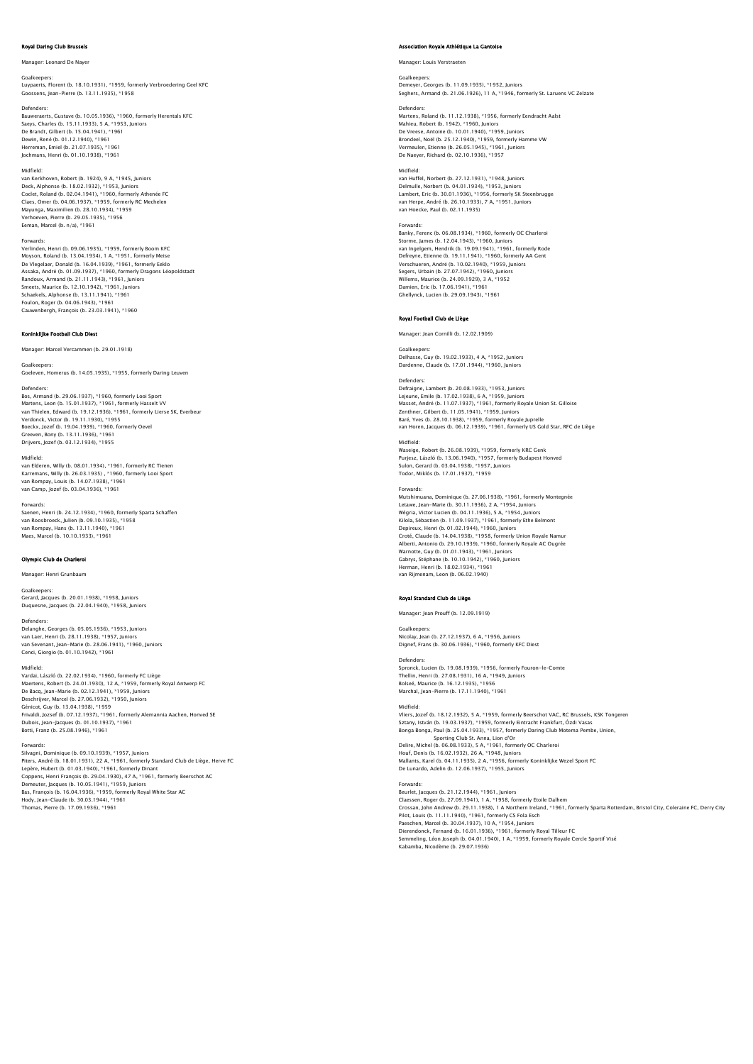# Royal Daring Club Brus

# Manager: Leonard De Naver

Goalkeepers: Luypaerts, Florent (b. 18.10.1931), \*1959, formerly Verbroedering Geel KFC Goossens, Jean-Pierre (b. 13.11.1935), \*1958

Defenders:<br>Bauweraerts, Gustave (b. 10.05.1936), \*1960, formerly Herentals KFC<br>Saeys, Charles (b. 15.11.1933), 5 A, \*1953, Juniors<br>De Brandt, Gilbert (b. 15.04.1941), \*1961 Dewin, René (b. 01.12.1940), \*1961 Herreman, Emiel (b. 21.07.1935), \*1961 Jochmans, Henri (b. 01.10.1938), \*1961

### Midfield:

van Kerkhoven, Robert (b. 1924), 9 A, \*1945, Juniors Deck, Alphonse (b. 18.02.1932), \*1953, Juniors<br>Coclet, Roland (b. 02.04.1941), \*1960, formerly Athenée FC<br>Claes, Omer (b. 04.06.1937), \*1959, formerly RC Mechelen<br>Mayunga, Maximilien (b. 28.10.1934), \*1959<br>Verhoeven, Pierr Eeman, Marcel (b. n/a), \*1961

Forwards: Verlinden, Henri (b. 09.06.1935), \*1959, formerly Boom KFC Moyson, Roland (b. 13.04.1934), 1 A, \*1951, formerly Meise De Vlegelaer, Donald (b. 16.04.1939), \*1961, formerly Eeklo Assaka, André (b. 01.09.1937), \*1960, formerly Dragons Léopoldstadt<br>Randoux, Armand (b. 21.11.1943), \*1961, Juniors<br>Smeets, Maurice (b. 12.10.1942), \*1961, Juniors<br>Schaekels, Alphonse (b. 13.11.1941), \*1961 Foulon, Roger (b. 04.06.1943), \*1961 Cauwenbergh, François (b. 23.03.1941), \*1960

# ninklijke Football Club D

Manager: Marcel Vercammen (b. 29.01.1918)

# Goalkeepers:

Goeleven, Homerus (b. 14.05.1935), \*1955, formerly Daring Leuven

Defenders: Bos, Armand (b. 29.06.1937), \*1960, formerly Looi Sport Martens, Leon (b. 15.01.1937), \*1961, formerly Hasselt VV van Thielen, Edward (b. 19.12.1936), \*1961, formerly Lierse SK, Everbeur Verdonck, Victor (b. 19.11.1930), \*1955 Boeckx, Jozef (b. 19.04.1939), \*1960, formerly Oevel Greeven, Bony (b. 13.11.1936), \*1961 Drijvers, Jozef (b. 03.12.1934), \*1955

Midfield:

van Elderen, Willy (b. 08.01.1934), \*1961, formerly RC Tienen Karremans, Willy (b. 26.03.1935) , \*1960, formerly Looi Sport van Rompay, Louis (b. 14.07.1938), \*1961 van Camp, Jozef (b. 03.04.1936), \*1961

### Forwards:

Saenen, Henri (b. 24.12.1934), \*1960, formerly Sparta Schaffen van Roosbroeck, Julien (b. 09.10.1935), \*1958 van Rompay, Hans (b. 13.11.1940), \*1961 Maes, Marcel (b. 10.10.1933), \*1961

# Olympic Club de Charleroi

Manager: Henri Grunbau

# Goalkeepers:

Gerard, Jacques (b. 20.01.1938), \*1958, Juniors Duquesne, Jacques (b. 22.04.1940), \*1958, Juniors

Defenders: Delanghe, Georges (b. 05.05.1936), \*1953, Juniors van Laer, Henri (b. 28.11.1938), \*1957, Jun van Sevenant, Jean-Marie (b. 28.06.1941), \*1960, Juniors Cenci, Giorgio (b. 01.10.1942), \*1961

### Midfield:

Vardai, László (b. 22.02.1934), \*1960, formerly FC Liège Maertens, Robert (b. 24.01.1930), 12 A, \*1959, formerly Royal Antwerp FC De Bacq, Jean-Marie (b. 02.12.1941), \*1959, Juniors<br>Deschrijver, Marcel (b. 27.06.1932), \*1950, Juniors<br>Génicot, Guy (b. 13.04.1938), \*1959<br>Frivaldi, Jozsef (b. 07.12.1937), \*1961, formerly Alemannia Aachen, Honved SE Dubois, Jean-Jacques (b. 01.10.1937), \*1961 Botti, Franz (b. 25.08.1946), \*1961

Forwards:

# Silvagni, Dominique (b. 09.10.1939), \*1957, Juniors Piters, André (b. 18.01.1931), 22 A, \*1961, formerly Standard Club de Liège, Herve FC<br>Lepère, Hubert (b. 01.03.1940), \*1961, formerly Dinant<br>Coppens, Henri François (b. 29.04.1930), 47 A, \*1961, formerly Beerschot AC<br>Demeu Hody, Jean-Claude (b. 30.03.1944), \*1961 Thomas, Pierre (b. 17.09.1936), \*1961

# .<br>Ion Royale Athlétique La Ga

Manager: Louis Verstraeten

# Goalkeepers: Demeyer, Georges (b. 11.09.1935), \*1952, Juniors Seghers, Armand (b. 21.06.1926), 11 A, \*1946, formerly St. Laruens VC Zelzate

Defenders: Martens, Roland (b. 11.12.1938), \*1956, formerly Eendracht Aalst Mahieu, Robert (b. 1942), \*1960, Juniors De Vreese, Antoine (b. 10.01.1940), \*1959, Juniors

Brondeel, Noёl (b. 25.12.1940), \*1959, formerly Hamme VW Vermeulen, Etienne (b. 26.05.1945), \*1961, Juniors De Naeyer, Richard (b. 02.10.1936), \*1957

### Midfield:

van Huffel, Norbert (b. 27.12.1931), \*1948, Juniors Delmulle, Norbert (b. 04.01.1934), \*1953, Juniors Lambert, Eric (b. 30.01.1936), \*1956, formerly SK Steenbrugge van Herpe, André (b. 26.10.1933), 7 A, \*1951, Juniors van Hoecke, Paul (b. 02.11.1935)

### Forwards:

Banky, Ferenc (b. 06.08.1934), \*1960, formerly OC Charleroi<br>Storme, James (b. 12.04.1943), \*1960, Juniors<br>van Ingelgem, Hendrik (b. 19.09.1941), \*1961, formerly Rode<br>Defreyne, Etienne (b. 19.11.1941), \*1960, formerly AA Ge Verschueren, André (b. 10.02.1940), \*1959, Juniors Segers, Urbain (b. 27.07.1942), \*1960, Juniors Willems, Maurice (b. 24.09.1929), 3 A, \*1952 Damien, Eric (b. 17.06.1941), \*1961 Ghellynck, Lucien (b. 29.09.1943), \*1961

# Royal Football Club de Liège

Manager: Jean Cornilli (b. 12.02.1909)

### Goalkeepers:

Delhasse, Guy (b. 19.02.1933), 4 A, \*1952, Juniors Dardenne, Claude (b. 17.01.1944), \*1960, Juniors

### Defenders:

Defraigne, Lambert (b. 20.08.1933), \*1953, Juniors<br>Lejeune, Emile (b. 17.02.1938), 6 A, \*1959, Juniors<br>Masset, André (b. 11.07.1937), 6 A, \*1959, Juniors<br>Zenthner, Gilbert (b. 11.05.1941), \*1959, Juniors<br>Baré, Yves (b. 28.

# Midfield:

Waseige, Robert (b. 26.08.1939), \*1959, formerly KRC Genk Purjesz, László (b. 13.06.1940), \*1957, formerly Budapest Honved Sulon, Gerard (b. 03.04.1938), \*1957, Juniors Todor, Miklós (b. 17.01.1937), \*1959

### Forwards:

Mutshimuana, Dominique (b. 27.06.1938), \*1961, formerly Montegnée Letawe, Jean-Marie (b. 30.11.1936), 2 A, † 1954, Juniors<br>Wégria, Victor Lucien (b. 04.11.1936), 5 A, \*1954, Juniors<br>Kilola, Sébastien (b. 11.09.1937), \*1961, formerly Ethe Belmont<br>Depireux, Henri (b. 01.02.1944), \*1956, fo Alberti, Antonio (b. 29.10.1939), \*1960, formerly Royale AC Ougrée Warnotte, Guy (b. 01.01.1943), \*1961, Juniors Gabrys, Stéphane (b. 10.10.1942), \*1960, Juniors Herman, Henri (b. 18.02.1934), \*1961 van Rijmenam, Leon (b. 06.02.1940)

### Royal Standard Club de Liège

Manager: Jean Prouff (b. 12.09.1919)

Goalkeepers

Nicolay, Jean (b. 27.12.1937), 6 A, \*1956, Juniors Dignef, Frans (b. 30.06.1936), \*1960, formerly KFC Diest

Defenders: Spronck, Lucien (b. 19.08.1939), \*1956, formerly Fouron-le-Comte Thellin, Henri (b. 27.08.1931), 16 A, \*1949, Juniors Bolseé, Maurice (b. 16.12.1935), \*1956 Marchal, Jean-Pierre (b. 17.11.1940), \*1961

# Midfield:

Vliers, Jozef (b. 18.12.1932), 5 A, \*1959, formerly Beerschot VAC, RC Brussels, KSK Tongeren Sztany, István (b. 19.03.1937), \* 1959, formerly Eintracht Frankfurt, Özdi Vasas<br>Bonga Bonga, Paul (b. 25.04.1933), \*1957, formerly Daring Club Motema Pembe, Union,<br>Delire, Michel (b. 06.08.1933), 5 A, \*1961, formerly OC C Mallants, Karel (b. 04.11.1935), 2 A, \*1956, formerly Koninklijke Wezel Sport FC De Lunardo, Adelin (b. 12.06.1937), \*1955, Juniors

Forwards: Beurlet, Jacques (b. 21.12.1944), \*1961, Juniors Claessen, Roger (b. 27.09.1941), 1 A, \*1958, formerly Etoile Dalhem<br>Crossan, John Andrew (b. 29.11.1938), 1 A Northern Ireland, \*1961, formerly Sparta Rotterdam, Bristol City, Coleraine FC, Derry City<br>Pilot, Louis (b. 11.1 Semmeling, Léon Joseph (b. 04.01.1940), 1 A, \*1959, formerly Royale Cercle Sportif Visé Kabamba, Nicodème (b. 29.07.1936)